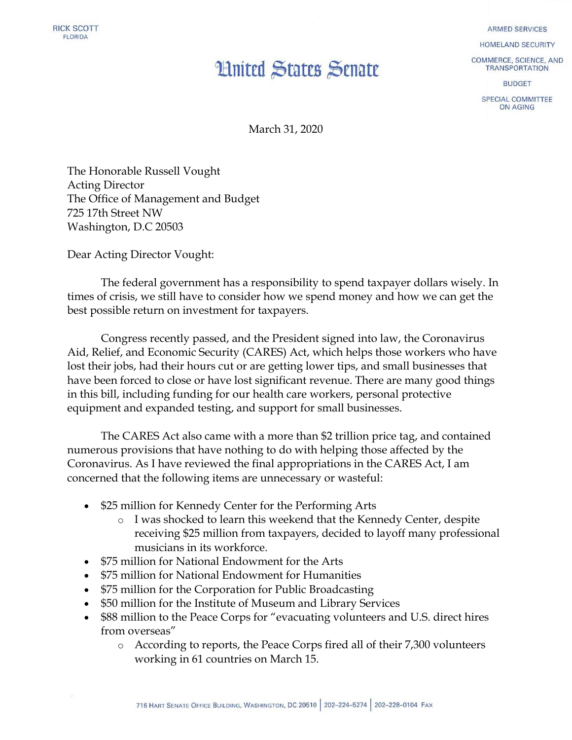## **Hnited States Senate**

**ARMED SERVICES** 

HOMELAND SECURITY

COMMERCE, SCIENCE, AND **TRANSPORTATION** 

**BUDGET** 

SPECIAL COMMITTEE ON AGING

March 31, 2020

The Honorable Russell Vought Acting Director The Office of Management and Budget 725 17th Street NW Washington, D.C 20503

Dear Acting Director Vought:

The federal government has a responsibility to spend taxpayer dollars wisely. In times of crisis, we still have to consider how we spend money and how we can get the best possible return on investment for taxpayers.

Congress recently passed, and the President signed into law, the Coronavirus Aid, Relief, and Economic Security (CARES) Act, which helps those workers who have lost their jobs, had their hours cut or are getting lower tips, and small businesses that have been forced to close or have lost significant revenue. There are many good things in this bill, including funding for our health care workers, personal protective equipment and expanded testing, and support for small businesses.

The CARES Act also came with a more than \$2 trillion price tag, and contained numerous provisions that have nothing to do with helping those affected by the Coronavirus. As I have reviewed the final appropriations in the CARES Act, I am concerned that the following items are unnecessary or wasteful:

- \$25 million for Kennedy Center for the Performing Arts
	- o I was shocked to learn this weekend that the Kennedy Center, despite receiving \$25 million from taxpayers, decided to layoff many professional musicians in its workforce.
- \$75 million for National Endowment for the Arts
- \$75 million for National Endowment for Humanities
- \$75 million for the Corporation for Public Broadcasting
- \$50 million for the Institute of Museum and Library Services
- \$88 million to the Peace Corps for "evacuating volunteers and U.S. direct hires from overseas"
	- o According to reports, the Peace Corps fired all of their 7,300 volunteers working in 61 countries on March 15.